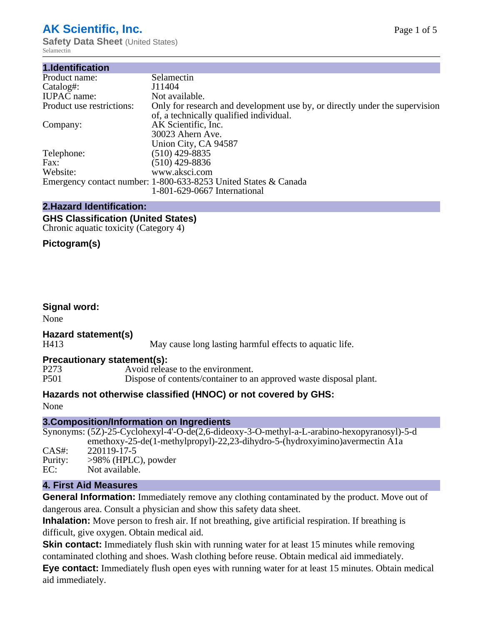# **AK Scientific, Inc.**

**Safety Data Sheet** (United States) Selamectin

| 1.Identification          |                                                                                                                        |
|---------------------------|------------------------------------------------------------------------------------------------------------------------|
| Product name:             | Selamectin                                                                                                             |
| Catalog#:                 | J11404                                                                                                                 |
| <b>IUPAC</b> name:        | Not available.                                                                                                         |
| Product use restrictions: | Only for research and development use by, or directly under the supervision<br>of, a technically qualified individual. |
| Company:                  | AK Scientific, Inc.<br>30023 Ahern Ave.<br>Union City, CA 94587                                                        |
| Telephone:                | $(510)$ 429-8835                                                                                                       |
| Fax:                      | $(510)$ 429-8836                                                                                                       |
| Website:                  | www.aksci.com                                                                                                          |
|                           | Emergency contact number: 1-800-633-8253 United States & Canada<br>1-801-629-0667 International                        |

## **2.Hazard Identification:**

|  |  |                                       | <b>GHS Classification (United States)</b> |
|--|--|---------------------------------------|-------------------------------------------|
|  |  | Chronic aquatic toxicity (Category 4) |                                           |

## **Pictogram(s)**

## **Signal word:**

None

## **Hazard statement(s)**

H413 May cause long lasting harmful effects to aquatic life.

#### **Precautionary statement(s):**

| P273 | Avoid release to the environment.                                  |
|------|--------------------------------------------------------------------|
| P501 | Dispose of contents/container to an approved waste disposal plant. |

## **Hazards not otherwise classified (HNOC) or not covered by GHS:**

None

## **3.Composition/Information on Ingredients**

```
Synonyms: (5Z)-25-Cyclohexyl-4'-O-de(2,6-dideoxy-3-O-methyl-a-L-arabino-hexopyranosyl)-5-d
           emethoxy-25-de(1-methylpropyl)-22,23-dihydro-5-(hydroxyimino)avermectin A1a
CAS#: 220119-17-5
Purity: >98% (HPLC), powder<br>EC: Not available.
           Not available.
```
## **4. First Aid Measures**

**General Information:** Immediately remove any clothing contaminated by the product. Move out of dangerous area. Consult a physician and show this safety data sheet.

**Inhalation:** Move person to fresh air. If not breathing, give artificial respiration. If breathing is difficult, give oxygen. Obtain medical aid.

**Skin contact:** Immediately flush skin with running water for at least 15 minutes while removing contaminated clothing and shoes. Wash clothing before reuse. Obtain medical aid immediately.

**Eye contact:** Immediately flush open eyes with running water for at least 15 minutes. Obtain medical aid immediately.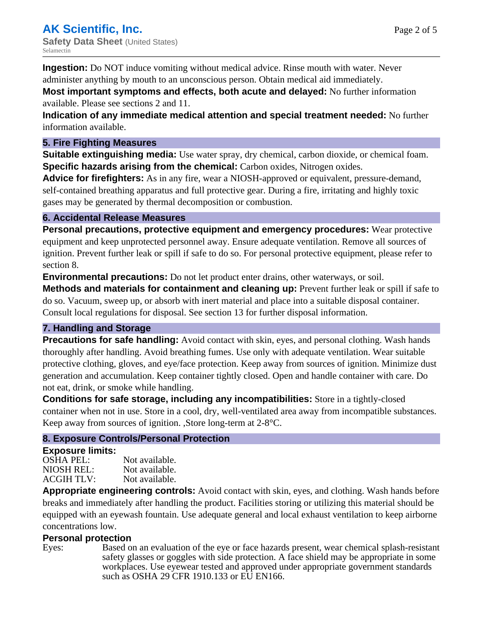**Ingestion:** Do NOT induce vomiting without medical advice. Rinse mouth with water. Never administer anything by mouth to an unconscious person. Obtain medical aid immediately.

**Most important symptoms and effects, both acute and delayed:** No further information available. Please see sections 2 and 11.

**Indication of any immediate medical attention and special treatment needed:** No further information available.

## **5. Fire Fighting Measures**

**Suitable extinguishing media:** Use water spray, dry chemical, carbon dioxide, or chemical foam. **Specific hazards arising from the chemical:** Carbon oxides, Nitrogen oxides.

**Advice for firefighters:** As in any fire, wear a NIOSH-approved or equivalent, pressure-demand, self-contained breathing apparatus and full protective gear. During a fire, irritating and highly toxic gases may be generated by thermal decomposition or combustion.

#### **6. Accidental Release Measures**

**Personal precautions, protective equipment and emergency procedures:** Wear protective equipment and keep unprotected personnel away. Ensure adequate ventilation. Remove all sources of ignition. Prevent further leak or spill if safe to do so. For personal protective equipment, please refer to section 8.

**Environmental precautions:** Do not let product enter drains, other waterways, or soil.

**Methods and materials for containment and cleaning up:** Prevent further leak or spill if safe to do so. Vacuum, sweep up, or absorb with inert material and place into a suitable disposal container. Consult local regulations for disposal. See section 13 for further disposal information.

## **7. Handling and Storage**

**Precautions for safe handling:** Avoid contact with skin, eyes, and personal clothing. Wash hands thoroughly after handling. Avoid breathing fumes. Use only with adequate ventilation. Wear suitable protective clothing, gloves, and eye/face protection. Keep away from sources of ignition. Minimize dust generation and accumulation. Keep container tightly closed. Open and handle container with care. Do not eat, drink, or smoke while handling.

**Conditions for safe storage, including any incompatibilities:** Store in a tightly-closed container when not in use. Store in a cool, dry, well-ventilated area away from incompatible substances. Keep away from sources of ignition. ,Store long-term at 2-8°C.

## **8. Exposure Controls/Personal Protection**

#### **Exposure limits:**

| <b>OSHA PEL:</b>  | Not available. |
|-------------------|----------------|
| NIOSH REL:        | Not available. |
| <b>ACGIH TLV:</b> | Not available. |

**Appropriate engineering controls:** Avoid contact with skin, eyes, and clothing. Wash hands before breaks and immediately after handling the product. Facilities storing or utilizing this material should be equipped with an eyewash fountain. Use adequate general and local exhaust ventilation to keep airborne concentrations low.

## **Personal protection**

Eyes: Based on an evaluation of the eye or face hazards present, wear chemical splash-resistant safety glasses or goggles with side protection. A face shield may be appropriate in some workplaces. Use eyewear tested and approved under appropriate government standards such as OSHA 29 CFR 1910.133 or EU EN166.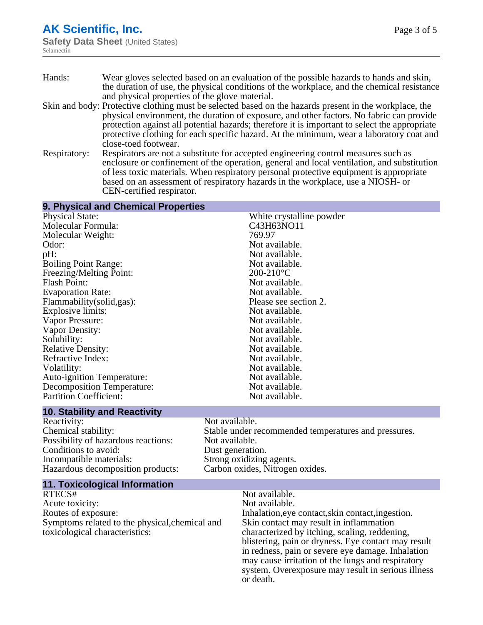- Hands: Wear gloves selected based on an evaluation of the possible hazards to hands and skin, the duration of use, the physical conditions of the workplace, and the chemical resistance and physical properties of the glove material.
- Skin and body: Protective clothing must be selected based on the hazards present in the workplace, the physical environment, the duration of exposure, and other factors. No fabric can provide protection against all potential hazards; therefore it is important to select the appropriate protective clothing for each specific hazard. At the minimum, wear a laboratory coat and close-toed footwear.
- Respiratory: Respirators are not a substitute for accepted engineering control measures such as enclosure or confinement of the operation, general and local ventilation, and substitution of less toxic materials. When respiratory personal protective equipment is appropriate based on an assessment of respiratory hazards in the workplace, use a NIOSH- or CEN-certified respirator.

## **9. Physical and Chemical Properties**

| <b>Physical State:</b>            | White crystalline powder |
|-----------------------------------|--------------------------|
| Molecular Formula:                | C43H63NO11               |
| Molecular Weight:                 | 769.97                   |
| Odor:                             | Not available.           |
| pH:                               | Not available.           |
| <b>Boiling Point Range:</b>       | Not available.           |
| Freezing/Melting Point:           | $200-210$ °C             |
| <b>Flash Point:</b>               | Not available.           |
| <b>Evaporation Rate:</b>          | Not available.           |
| Flammability(solid,gas):          | Please see section 2.    |
| Explosive limits:                 | Not available.           |
| Vapor Pressure:                   | Not available.           |
| Vapor Density:                    | Not available.           |
| Solubility:                       | Not available.           |
| <b>Relative Density:</b>          | Not available.           |
| Refractive Index:                 | Not available.           |
| Volatility:                       | Not available.           |
| <b>Auto-ignition Temperature:</b> | Not available.           |
| Decomposition Temperature:        | Not available.           |
| <b>Partition Coefficient:</b>     | Not available.           |

#### **10. Stability and Reactivity**

| Reactivity:                         | Not available.                                       |
|-------------------------------------|------------------------------------------------------|
| Chemical stability:                 | Stable under recommended temperatures and pressures. |
| Possibility of hazardous reactions: | Not available.                                       |
| Conditions to avoid:                | Dust generation.                                     |
| Incompatible materials:             | Strong oxidizing agents.                             |
| Hazardous decomposition products:   | Carbon oxides, Nitrogen oxides.                      |
|                                     |                                                      |

#### **11. Toxicological Information**

RTECS# Not available. Acute toxicity: Not available. Routes of exposure: The Inhalation, eye contact, skin contact, ingestion. Symptoms related to the physical,chemical and toxicological characteristics:

Skin contact may result in inflammation characterized by itching, scaling, reddening, blistering, pain or dryness. Eye contact may result in redness, pain or severe eye damage. Inhalation may cause irritation of the lungs and respiratory system. Overexposure may result in serious illness or death.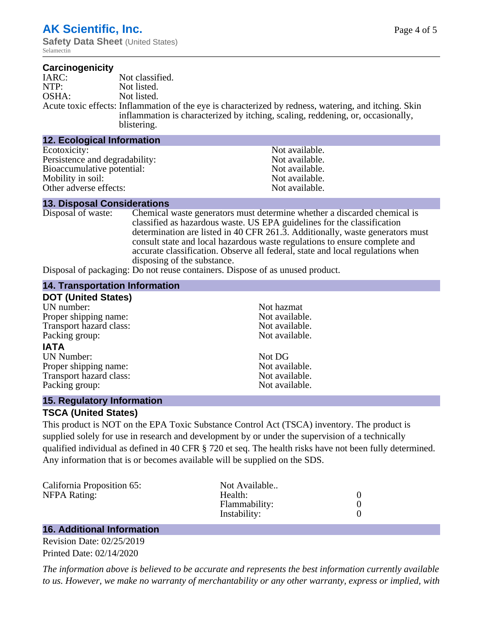**Safety Data Sheet** (United States) Selamectin

#### **Carcinogenicity**

| IARC: | Not classified.                                                                                                                                                                                         |
|-------|---------------------------------------------------------------------------------------------------------------------------------------------------------------------------------------------------------|
| NTP:  | Not listed.                                                                                                                                                                                             |
| OSHA: | Not listed.                                                                                                                                                                                             |
|       | Acute toxic effects: Inflammation of the eye is characterized by redness, watering, and itching. Skin<br>inflammation is characterized by itching, scaling, reddening, or, occasionally,<br>blistering. |

| <b>12. Ecological Information</b> |                |
|-----------------------------------|----------------|
| Ecotoxicity:                      | Not available. |
| Persistence and degradability:    | Not available. |
| Bioaccumulative potential:        | Not available. |
| Mobility in soil:                 | Not available. |
| Other adverse effects:            | Not available. |

#### **13. Disposal Considerations**

Disposal of waste: Chemical waste generators must determine whether a discarded chemical is classified as hazardous waste. US EPA guidelines for the classification determination are listed in 40 CFR 261.3. Additionally, waste generators must consult state and local hazardous waste regulations to ensure complete and accurate classification. Observe all federal, state and local regulations when disposing of the substance.

Disposal of packaging: Do not reuse containers. Dispose of as unused product.

#### **14. Transportation Information**

| <b>DOT (United States)</b> |                |
|----------------------------|----------------|
| UN number:                 | Not hazmat     |
| Proper shipping name:      | Not available. |
| Transport hazard class:    | Not available. |
| Packing group:             | Not available. |
| IATA                       |                |
| <b>UN Number:</b>          | Not DG         |
| Proper shipping name:      | Not available. |
| Transport hazard class:    | Not available. |
| Packing group:             | Not available. |

## **15. Regulatory Information**

## **TSCA (United States)**

This product is NOT on the EPA Toxic Substance Control Act (TSCA) inventory. The product is supplied solely for use in research and development by or under the supervision of a technically qualified individual as defined in 40 CFR § 720 et seq. The health risks have not been fully determined. Any information that is or becomes available will be supplied on the SDS.

| California Proposition 65: | Not Available |  |
|----------------------------|---------------|--|
| NFPA Rating:               | Health:       |  |
|                            | Flammability: |  |
|                            | Instability:  |  |
|                            |               |  |

## **16. Additional Information**

Revision Date: 02/25/2019 Printed Date: 02/14/2020

*The information above is believed to be accurate and represents the best information currently available to us. However, we make no warranty of merchantability or any other warranty, express or implied, with*